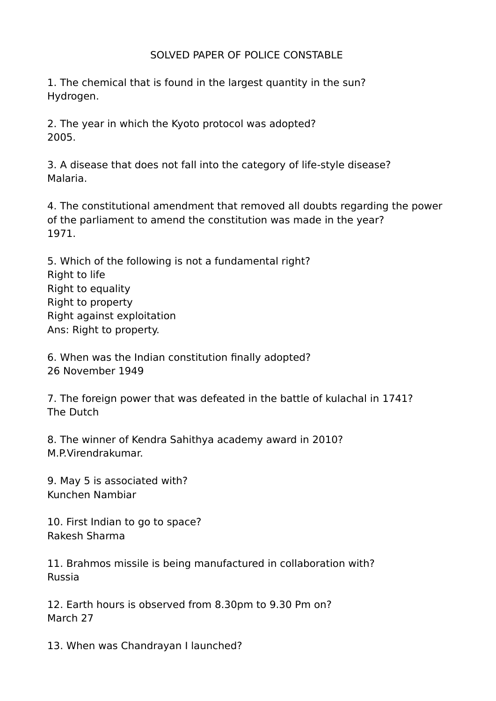## SOLVED PAPER OF POLICE CONSTABLE

1. The chemical that is found in the largest quantity in the sun? Hydrogen.

2. The year in which the Kyoto protocol was adopted? 2005.

3. A disease that does not fall into the category of life-style disease? Malaria.

4. The constitutional amendment that removed all doubts regarding the power of the parliament to amend the constitution was made in the year? 1971.

5. Which of the following is not a fundamental right? Right to life Right to equality Right to property Right against exploitation Ans: Right to property.

6. When was the Indian constitution finally adopted? 26 November 1949

7. The foreign power that was defeated in the battle of kulachal in 1741? The Dutch

8. The winner of Kendra Sahithya academy award in 2010? M.P.Virendrakumar.

9. May 5 is associated with? Kunchen Nambiar

10. First Indian to go to space? Rakesh Sharma

11. Brahmos missile is being manufactured in collaboration with? Russia

12. Earth hours is observed from 8.30pm to 9.30 Pm on? March 27

13. When was Chandrayan I launched?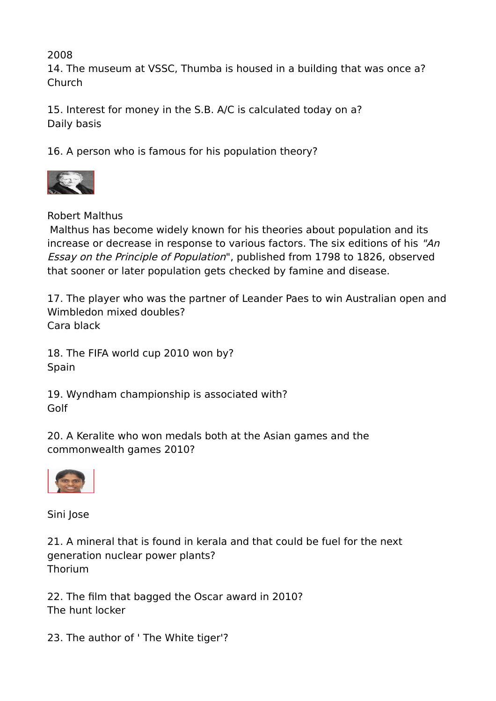2008

14. The museum at VSSC, Thumba is housed in a building that was once a? Church

15. Interest for money in the S.B. A/C is calculated today on a? Daily basis

16. A person who is famous for his population theory?



Robert Malthus

Malthus has become widely known for his theories about population and its increase or decrease in response to various factors. The six editions of his "An Essay on the Principle of Population", published from 1798 to 1826, observed that sooner or later population gets checked by famine and disease.

17. The player who was the partner of Leander Paes to win Australian open and Wimbledon mixed doubles? Cara black

18. The FIFA world cup 2010 won by? Spain

19. Wyndham championship is associated with? Golf

20. A Keralite who won medals both at the Asian games and the commonwealth games 2010?



Sini Jose

21. A mineral that is found in kerala and that could be fuel for the next generation nuclear power plants? Thorium

22. The film that bagged the Oscar award in 2010? The hunt locker

23. The author of ' The White tiger'?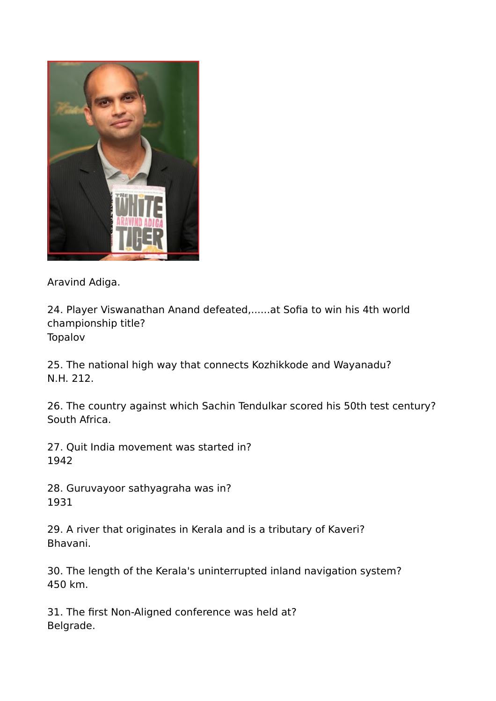

Aravind Adiga.

24. Player Viswanathan Anand defeated,......at Sofia to win his 4th world championship title? Topalov

25. The national high way that connects Kozhikkode and Wayanadu? N.H. 212.

26. The country against which Sachin Tendulkar scored his 50th test century? South Africa.

27. Quit India movement was started in? 1942

28. Guruvayoor sathyagraha was in? 1931

29. A river that originates in Kerala and is a tributary of Kaveri? Bhavani.

30. The length of the Kerala's uninterrupted inland navigation system? 450 km.

31. The first Non-Aligned conference was held at? Belgrade.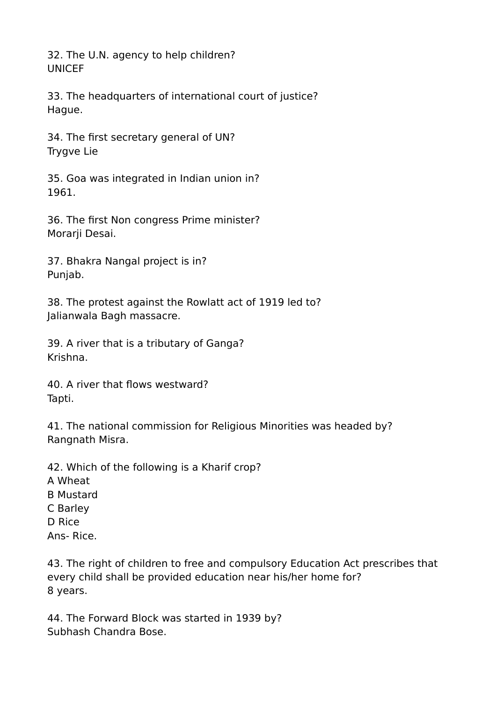32. The U.N. agency to help children? UNICEF

33. The headquarters of international court of justice? Hague.

34. The first secretary general of UN? Trygve Lie

35. Goa was integrated in Indian union in? 1961.

36. The first Non congress Prime minister? Morarji Desai.

37. Bhakra Nangal project is in? Punjab.

38. The protest against the Rowlatt act of 1919 led to? Jalianwala Bagh massacre.

39. A river that is a tributary of Ganga? Krishna.

40. A river that flows westward? Tapti.

41. The national commission for Religious Minorities was headed by? Rangnath Misra.

42. Which of the following is a Kharif crop? A Wheat B Mustard C Barley D Rice Ans- Rice.

43. The right of children to free and compulsory Education Act prescribes that every child shall be provided education near his/her home for? 8 years.

44. The Forward Block was started in 1939 by? Subhash Chandra Bose.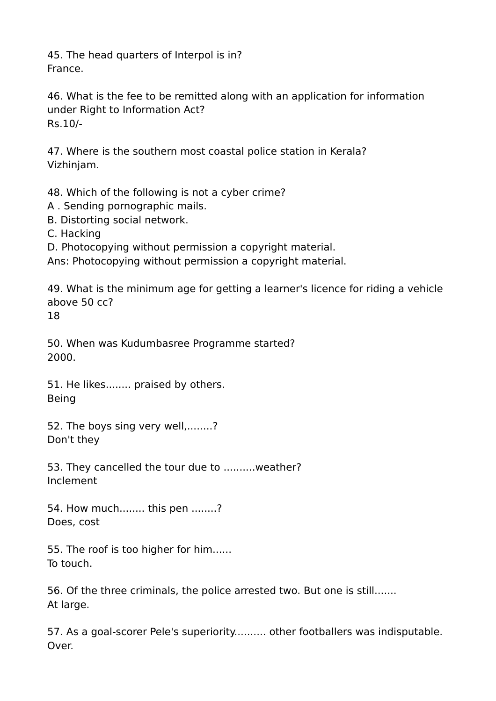45. The head quarters of Interpol is in? France.

46. What is the fee to be remitted along with an application for information under Right to Information Act? Rs.10/-

47. Where is the southern most coastal police station in Kerala? Vizhinjam.

48. Which of the following is not a cyber crime?

- A . Sending pornographic mails.
- B. Distorting social network.
- C. Hacking

D. Photocopying without permission a copyright material.

Ans: Photocopying without permission a copyright material.

49. What is the minimum age for getting a learner's licence for riding a vehicle above 50 cc?

18

50. When was Kudumbasree Programme started? 2000.

51. He likes........ praised by others. Being

52. The boys sing very well,........? Don't they

53. They cancelled the tour due to ..........weather? Inclement

54. How much........ this pen ........? Does, cost

55. The roof is too higher for him...... To touch.

56. Of the three criminals, the police arrested two. But one is still....... At large.

57. As a goal-scorer Pele's superiority.......... other footballers was indisputable. Over.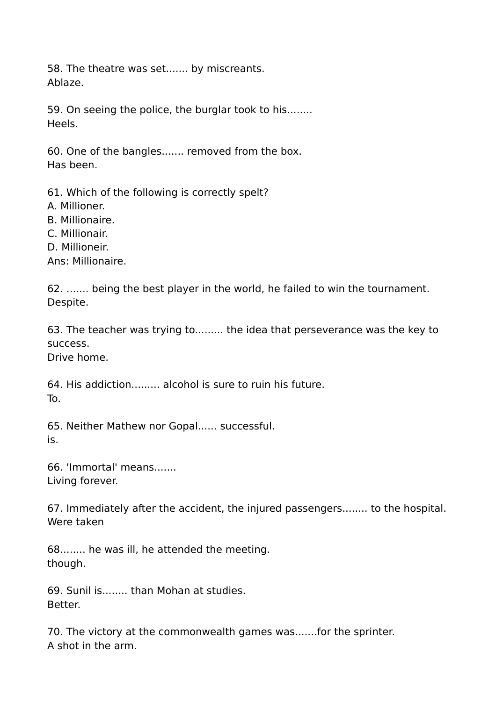58. The theatre was set....... by miscreants. Ablaze.

59. On seeing the police, the burglar took to his........ Heels.

60. One of the bangles....... removed from the box. Has been.

61. Which of the following is correctly spelt?

- A. Millioner.
- B. Millionaire.
- C. Millionair.
- D. Millioneir.

Ans: Millionaire.

62. ....... being the best player in the world, he failed to win the tournament. Despite.

63. The teacher was trying to......... the idea that perseverance was the key to success.

Drive home.

64. His addiction......... alcohol is sure to ruin his future. To.

65. Neither Mathew nor Gopal...... successful. is.

66. 'Immortal' means....... Living forever.

67. Immediately after the accident, the injured passengers........ to the hospital. Were taken

68........ he was ill, he attended the meeting. though.

69. Sunil is........ than Mohan at studies. Better.

70. The victory at the commonwealth games was.......for the sprinter. A shot in the arm.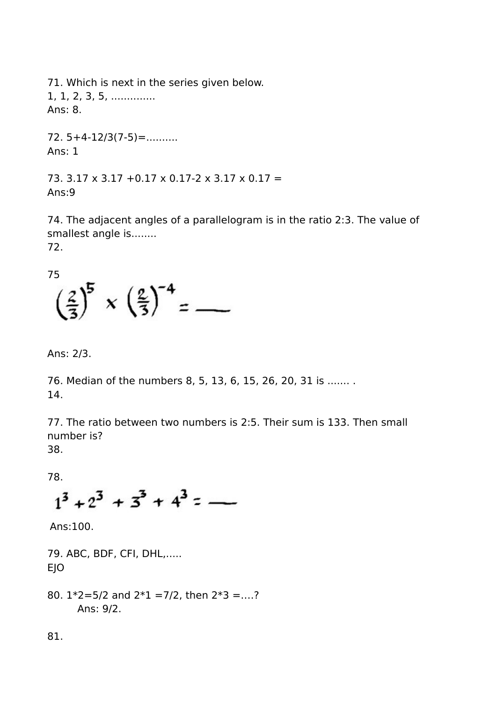71. Which is next in the series given below. 1, 1, 2, 3, 5, ............... Ans: 8.

 $72.5+4-12/3(7-5)=$ .......... Ans: 1

73.  $3.17 \times 3.17 + 0.17 \times 0.17 - 2 \times 3.17 \times 0.17 =$ Ans:9

74. The adjacent angles of a parallelogram is in the ratio 2:3. The value of smallest angle is........ 72.

75

$$
\left(\frac{2}{3}\right)^5 \times \left(\frac{2}{3}\right)^{-4} = \underline{\qquad}
$$

Ans: 2/3.

76. Median of the numbers 8, 5, 13, 6, 15, 26, 20, 31 is ....... . 14.

77. The ratio between two numbers is 2:5. Their sum is 133. Then small number is? 38.

78.

$$
1^3 + 2^3 + 3^3 + 4^3 = -
$$

Ans:100.

79. ABC, BDF, CFI, DHL,..... EJO

80. 1\*2=5/2 and 2\*1 =7/2, then 2\*3 =….? Ans: 9/2.

81.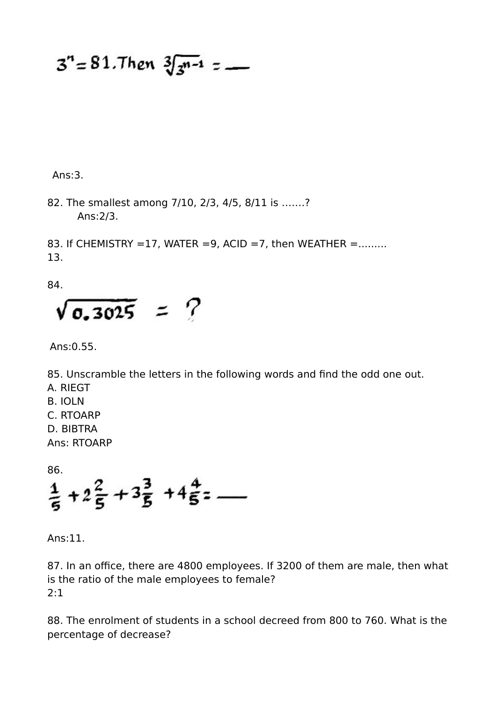$3^{n} = 81.$ Then  $3\sqrt{3^{n-1}} =$ 

Ans:3.

82. The smallest among 7/10, 2/3, 4/5, 8/11 is …….? Ans:2/3.

83. If CHEMISTRY =17, WATER =9, ACID =7, then WEATHER =........ 13.

84.

 $\sqrt{0.3025}$  = ?

Ans:0.55.

85. Unscramble the letters in the following words and find the odd one out. A. RIEGT

- B. IOLN
- C. RTOARP
- D. BIBTRA

Ans: RTOARP

86.

 $\frac{1}{5} + 2\frac{2}{5} + 3\frac{3}{5} + 4\frac{4}{5} =$ 

Ans:11.

87. In an office, there are 4800 employees. If 3200 of them are male, then what is the ratio of the male employees to female? 2:1

88. The enrolment of students in a school decreed from 800 to 760. What is the percentage of decrease?